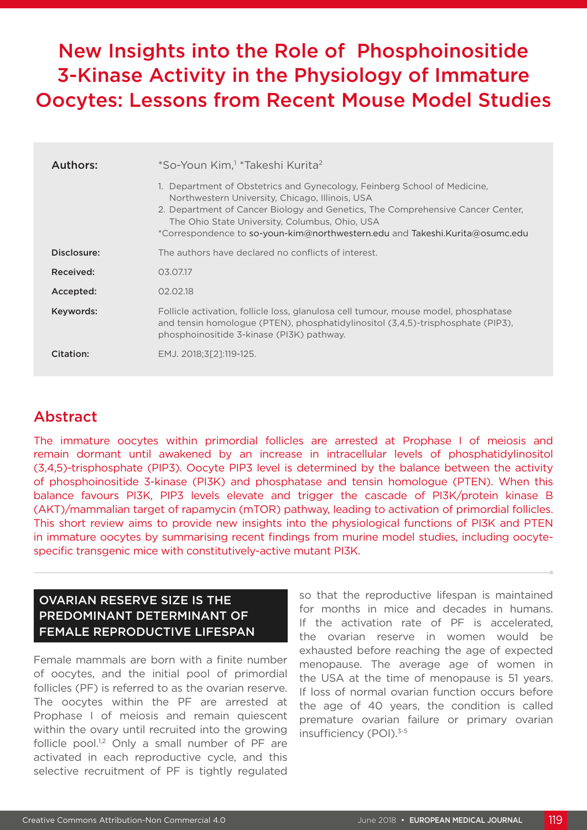# New Insights into the Role of Phosphoinositide 3-Kinase Activity in the Physiology of Immature Oocytes: Lessons from Recent Mouse Model Studies

| Authors:    | *So-Youn Kim, <sup>1</sup> *Takeshi Kurita <sup>2</sup><br>1. Department of Obstetrics and Gynecology, Feinberg School of Medicine,<br>Northwestern University, Chicago, Illinois, USA<br>2. Department of Cancer Biology and Genetics, The Comprehensive Cancer Center,<br>The Ohio State University, Columbus, Ohio, USA<br>$\,^*$ Correspondence to so-youn-kim@northwestern.edu and Takeshi.Kurita@osumc.edu |
|-------------|------------------------------------------------------------------------------------------------------------------------------------------------------------------------------------------------------------------------------------------------------------------------------------------------------------------------------------------------------------------------------------------------------------------|
| Disclosure: | The authors have declared no conflicts of interest.                                                                                                                                                                                                                                                                                                                                                              |
| Received:   | 03.07.17                                                                                                                                                                                                                                                                                                                                                                                                         |
| Accepted:   | 02.02.18                                                                                                                                                                                                                                                                                                                                                                                                         |
| Keywords:   | Follicle activation, follicle loss, glanulosa cell tumour, mouse model, phosphatase<br>and tensin homologue (PTEN), phosphatidylinositol (3.4.5)-trisphosphate (PIP3),<br>phosphoinositide 3-kinase (PI3K) pathway.                                                                                                                                                                                              |
| Citation:   | EMJ. 2018;3[2]:119-125.                                                                                                                                                                                                                                                                                                                                                                                          |

## Abstract

The immature oocytes within primordial follicles are arrested at Prophase I of meiosis and remain dormant until awakened by an increase in intracellular levels of phosphatidylinositol (3,4,5)-trisphosphate (PIP3). Oocyte PIP3 level is determined by the balance between the activity of phosphoinositide 3-kinase (PI3K) and phosphatase and tensin homologue (PTEN). When this balance favours PI3K, PIP3 levels elevate and trigger the cascade of PI3K/protein kinase B (AKT)/mammalian target of rapamycin (mTOR) pathway, leading to activation of primordial follicles. This short review aims to provide new insights into the physiological functions of PI3K and PTEN in immature oocytes by summarising recent findings from murine model studies, including oocytespecific transgenic mice with constitutively-active mutant PI3K.

#### OVARIAN RESERVE SIZE IS THE PREDOMINANT DETERMINANT OF FEMALE REPRODUCTIVE LIFESPAN

Female mammals are born with a finite number of oocytes, and the initial pool of primordial follicles (PF) is referred to as the ovarian reserve. The oocytes within the PF are arrested at Prophase I of meiosis and remain quiescent within the ovary until recruited into the growing follicle pool. $1,2$  Only a small number of PF are activated in each reproductive cycle, and this selective recruitment of PF is tightly regulated

so that the reproductive lifespan is maintained for months in mice and decades in humans. If the activation rate of PF is accelerated, the ovarian reserve in women would be exhausted before reaching the age of expected menopause. The average age of women in the USA at the time of menopause is 51 years. If loss of normal ovarian function occurs before the age of 40 years, the condition is called premature ovarian failure or primary ovarian insufficiency (POI).3-5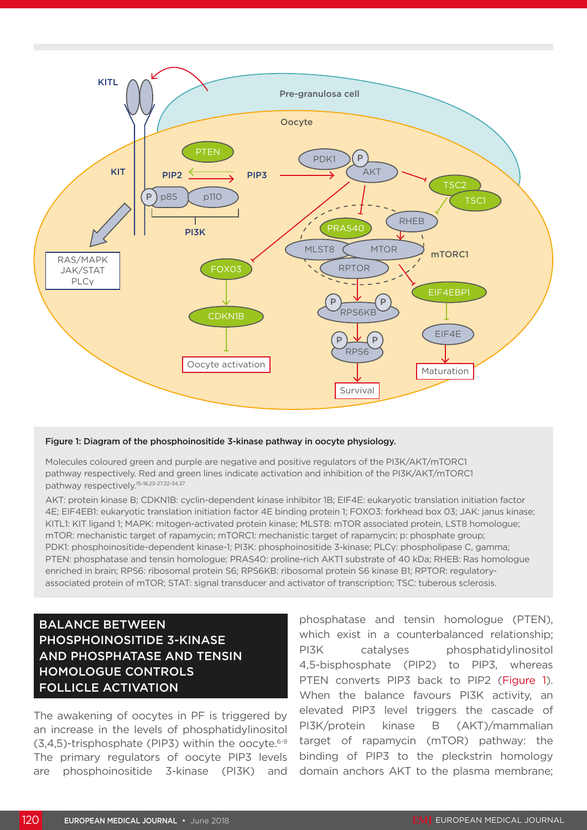

#### Figure 1: Diagram of the phosphoinositide 3-kinase pathway in oocyte physiology.

Molecules coloured green and purple are negative and positive regulators of the PI3K/AKT/mTORC1 pathway respectively. Red and green lines indicate activation and inhibition of the PI3K/AKT/mTORC1 pathway respectively.15-18,23-27,32-34,37

AKT: protein kinase B; CDKN1B: cyclin-dependent kinase inhibitor 1B; EIF4E: eukaryotic translation initiation factor 4E; EIF4EB1: eukaryotic translation initiation factor 4E binding protein 1; FOXO3: forkhead box 03; JAK: janus kinase; KITL1: KIT ligand 1; MAPK: mitogen-activated protein kinase; MLST8: mTOR associated protein, LST8 homologue; mTOR: mechanistic target of rapamycin; mTORC1: mechanistic target of rapamycin; p: phosphate group; PDK1: phosphoinositide-dependent kinase-1; PI3K: phosphoinositide 3-kinase; PLCγ: phospholipase C, gamma; PTEN: phosphatase and tensin homologue; PRAS40: proline-rich AKT1 substrate of 40 kDa; RHEB: Ras homologue enriched in brain; RPS6: ribosomal protein S6; RPS6KB: ribosomal protein S6 kinase B1; RPTOR: regulatoryassociated protein of mTOR; STAT: signal transducer and activator of transcription; TSC: tuberous sclerosis.

### BALANCE BETWEEN PHOSPHOINOSITIDE 3-KINASE AND PHOSPHATASE AND TENSIN HOMOLOGUE CONTROLS FOLLICLE ACTIVATION

The awakening of oocytes in PF is triggered by an increase in the levels of phosphatidylinositol  $(3,4,5)$ -trisphosphate (PIP3) within the oocyte.<sup>6-9</sup> The primary regulators of oocyte PIP3 levels are phosphoinositide 3-kinase (PI3K) and

phosphatase and tensin homologue (PTEN), which exist in a counterbalanced relationship; PI3K catalyses phosphatidylinositol 4,5-bisphosphate (PIP2) to PIP3, whereas PTEN converts PIP3 back to PIP2 (Figure 1). When the balance favours PI3K activity, an elevated PIP3 level triggers the cascade of PI3K/protein kinase B (AKT)/mammalian target of rapamycin (mTOR) pathway: the binding of PIP3 to the pleckstrin homology domain anchors AKT to the plasma membrane;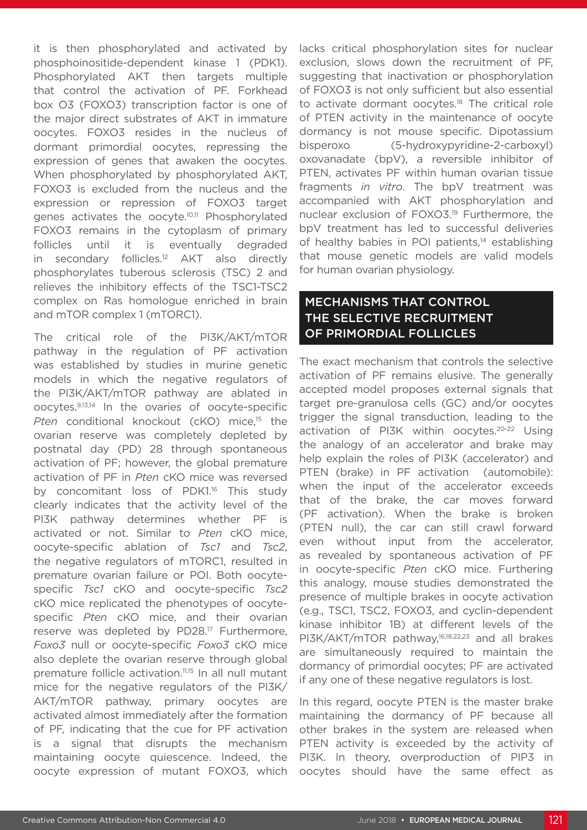it is then phosphorylated and activated by phosphoinositide-dependent kinase 1 (PDK1). Phosphorylated AKT then targets multiple that control the activation of PF. Forkhead box O3 (FOXO3) transcription factor is one of the major direct substrates of AKT in immature oocytes. FOXO3 resides in the nucleus of dormant primordial oocytes, repressing the expression of genes that awaken the oocytes. When phosphorylated by phosphorylated AKT, FOXO3 is excluded from the nucleus and the expression or repression of FOXO3 target genes activates the oocyte.10,11 Phosphorylated FOXO3 remains in the cytoplasm of primary follicles until it is eventually degraded in secondary follicles.<sup>12</sup> AKT also directly phosphorylates tuberous sclerosis (TSC) 2 and relieves the inhibitory effects of the TSC1-TSC2 complex on Ras homologue enriched in brain and mTOR complex 1 (mTORC1).

The critical role of the PI3K/AKT/mTOR pathway in the regulation of PF activation was established by studies in murine genetic models in which the negative regulators of the PI3K/AKT/mTOR pathway are ablated in oocytes.9,13,14 In the ovaries of oocyte-specific Pten conditional knockout (cKO) mice,<sup>15</sup> the ovarian reserve was completely depleted by postnatal day (PD) 28 through spontaneous activation of PF; however, the global premature activation of PF in *Pten* cKO mice was reversed by concomitant loss of PDK1.<sup>16</sup> This study clearly indicates that the activity level of the PI3K pathway determines whether PF is activated or not. Similar to *Pten* cKO mice, oocyte-specific ablation of *Tsc1* and *Tsc2*, the negative regulators of mTORC1, resulted in premature ovarian failure or POI. Both oocytespecific *Tsc1* cKO and oocyte-specific *Tsc2* cKO mice replicated the phenotypes of oocytespecific *Pten* cKO mice, and their ovarian reserve was depleted by PD28.<sup>17</sup> Furthermore, *Foxo3* null or oocyte-specific *Foxo3* cKO mice also deplete the ovarian reserve through global premature follicle activation.<sup>11,15</sup> In all null mutant mice for the negative regulators of the PI3K/ AKT/mTOR pathway, primary oocytes are activated almost immediately after the formation of PF, indicating that the cue for PF activation is a signal that disrupts the mechanism maintaining oocyte quiescence. Indeed, the oocyte expression of mutant FOXO3, which

lacks critical phosphorylation sites for nuclear exclusion, slows down the recruitment of PF, suggesting that inactivation or phosphorylation of FOXO3 is not only sufficient but also essential to activate dormant oocytes.<sup>18</sup> The critical role of PTEN activity in the maintenance of oocyte dormancy is not mouse specific. Dipotassium bisperoxo (5-hydroxypyridine-2-carboxyl) oxovanadate (bpV), a reversible inhibitor of PTEN, activates PF within human ovarian tissue fragments *in vitro*. The bpV treatment was accompanied with AKT phosphorylation and nuclear exclusion of FOXO3.19 Furthermore, the bpV treatment has led to successful deliveries of healthy babies in POI patients,<sup>14</sup> establishing that mouse genetic models are valid models for human ovarian physiology.

#### MECHANISMS THAT CONTROL THE SELECTIVE RECRUITMENT OF PRIMORDIAL FOLLICLES

The exact mechanism that controls the selective activation of PF remains elusive. The generally accepted model proposes external signals that target pre-granulosa cells (GC) and/or oocytes trigger the signal transduction, leading to the activation of PI3K within oocytes.20-22 Using the analogy of an accelerator and brake may help explain the roles of PI3K (accelerator) and PTEN (brake) in PF activation (automobile): when the input of the accelerator exceeds that of the brake, the car moves forward (PF activation). When the brake is broken (PTEN null), the car can still crawl forward even without input from the accelerator, as revealed by spontaneous activation of PF in oocyte-specific *Pten* cKO mice. Furthering this analogy, mouse studies demonstrated the presence of multiple brakes in oocyte activation (e.g., TSC1, TSC2, FOXO3, and cyclin-dependent kinase inhibitor 1B) at different levels of the PI3K/AKT/mTOR pathway,16,18,22,23 and all brakes are simultaneously required to maintain the dormancy of primordial oocytes; PF are activated if any one of these negative regulators is lost.

In this regard, oocyte PTEN is the master brake maintaining the dormancy of PF because all other brakes in the system are released when PTEN activity is exceeded by the activity of PI3K. In theory, overproduction of PIP3 in oocytes should have the same effect as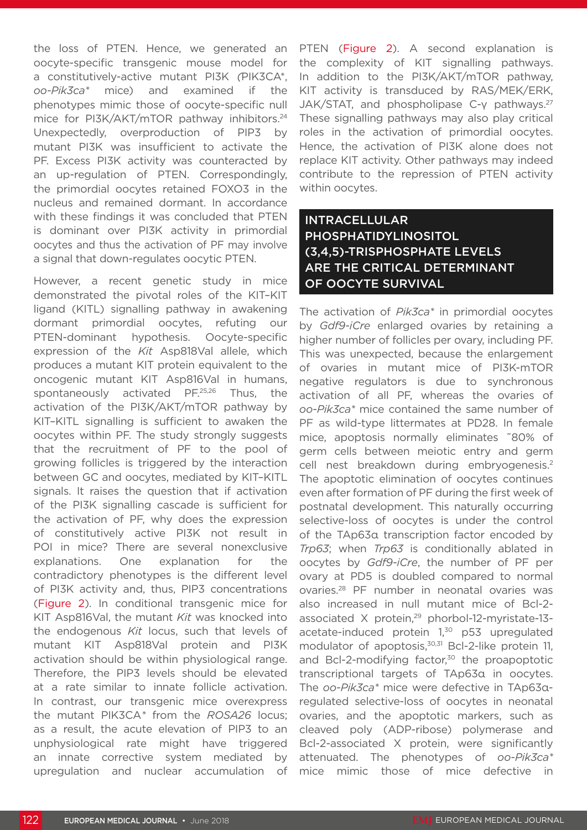the loss of PTEN. Hence, we generated an oocyte-specific transgenic mouse model for a constitutively-active mutant PI3K *(*PIK3CA\*, *oo-Pik3ca\** mice) and examined if the phenotypes mimic those of oocyte-specific null mice for PI3K/AKT/mTOR pathway inhibitors.<sup>24</sup> Unexpectedly, overproduction of PIP3 by mutant PI3K was insufficient to activate the PF. Excess PI3K activity was counteracted by an up-regulation of PTEN. Correspondingly, the primordial oocytes retained FOXO3 in the nucleus and remained dormant. In accordance with these findings it was concluded that PTEN is dominant over PI3K activity in primordial oocytes and thus the activation of PF may involve a signal that down-regulates oocytic PTEN.

However, a recent genetic study in mice demonstrated the pivotal roles of the KIT–KIT ligand (KITL) signalling pathway in awakening dormant primordial oocytes, refuting our PTEN-dominant hypothesis. Oocyte-specific expression of the *Kit* Asp818Val allele, which produces a mutant KIT protein equivalent to the oncogenic mutant KIT Asp816Val in humans, spontaneously activated PF.<sup>25,26</sup> Thus, the activation of the PI3K/AKT/mTOR pathway by KIT–KITL signalling is sufficient to awaken the oocytes within PF. The study strongly suggests that the recruitment of PF to the pool of growing follicles is triggered by the interaction between GC and oocytes, mediated by KIT–KITL signals. It raises the question that if activation of the PI3K signalling cascade is sufficient for the activation of PF, why does the expression of constitutively active PI3K not result in POI in mice? There are several nonexclusive explanations. One explanation for the contradictory phenotypes is the different level of PI3K activity and, thus, PIP3 concentrations (Figure 2). In conditional transgenic mice for KIT Asp816Val, the mutant *Kit* was knocked into the endogenous *Kit* locus, such that levels of mutant KIT Asp818Val protein and PI3K activation should be within physiological range. Therefore, the PIP3 levels should be elevated at a rate similar to innate follicle activation. In contrast, our transgenic mice overexpress the mutant PIK3CA*\** from the *ROSA26* locus; as a result, the acute elevation of PIP3 to an unphysiological rate might have triggered an innate corrective system mediated by upregulation and nuclear accumulation of

PTEN (Figure 2). A second explanation is the complexity of KIT signalling pathways. In addition to the PI3K/AKT/mTOR pathway, KIT activity is transduced by RAS/MEK/ERK, JAK/STAT, and phospholipase C-v pathways.<sup>27</sup> These signalling pathways may also play critical roles in the activation of primordial oocytes. Hence, the activation of PI3K alone does not replace KIT activity. Other pathways may indeed contribute to the repression of PTEN activity within oocytes.

### INTRACELLULAR PHOSPHATIDYLINOSITOL (3,4,5)-TRISPHOSPHATE LEVELS ARE THE CRITICAL DETERMINANT OF OOCYTE SURVIVAL

The activation of *Pik3ca\** in primordial oocytes by *Gdf9-iCre* enlarged ovaries by retaining a higher number of follicles per ovary, including PF. This was unexpected, because the enlargement of ovaries in mutant mice of PI3K-mTOR negative regulators is due to synchronous activation of all PF, whereas the ovaries of *oo-Pik3ca\** mice contained the same number of PF as wild-type littermates at PD28. In female mice, apoptosis normally eliminates ˜80% of germ cells between meiotic entry and germ cell nest breakdown during embryogenesis.<sup>2</sup> The apoptotic elimination of oocytes continues even after formation of PF during the first week of postnatal development. This naturally occurring selective-loss of oocytes is under the control of the TAp63α transcription factor encoded by *Trp63*; when *Trp63* is conditionally ablated in oocytes by *Gdf9-iCre*, the number of PF per ovary at PD5 is doubled compared to normal ovaries.28 PF number in neonatal ovaries was also increased in null mutant mice of Bcl-2 associated X protein,<sup>29</sup> phorbol-12-myristate-13acetate-induced protein 1.<sup>30</sup> p53 upregulated modulator of apoptosis,<sup>30,31</sup> Bcl-2-like protein 11, and Bcl-2-modifying factor,<sup>30</sup> the proapoptotic transcriptional targets of TAp63α in oocytes. The *oo-Pik3ca\** mice were defective in TAp63αregulated selective-loss of oocytes in neonatal ovaries, and the apoptotic markers, such as cleaved poly (ADP-ribose) polymerase and Bcl-2-associated X protein, were significantly attenuated. The phenotypes of *oo-Pik3ca\** mice mimic those of mice defective in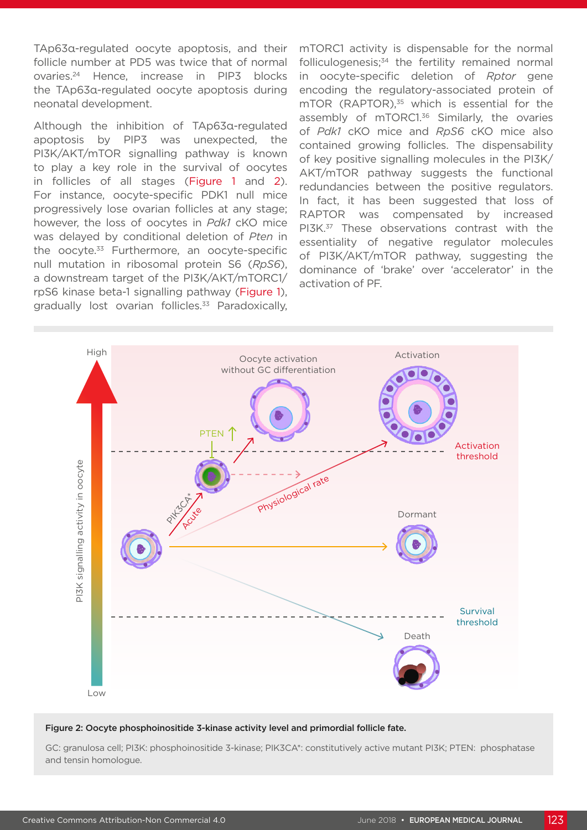TAp63α-regulated oocyte apoptosis, and their follicle number at PD5 was twice that of normal ovaries.24 Hence, increase in PIP3 blocks the TAp63α-regulated oocyte apoptosis during neonatal development.

Although the inhibition of TAp63α-regulated apoptosis by PIP3 was unexpected, the PI3K/AKT/mTOR signalling pathway is known to play a key role in the survival of oocytes in follicles of all stages (Figure 1 and 2). For instance, oocyte-specific PDK1 null mice progressively lose ovarian follicles at any stage; however, the loss of oocytes in *Pdk1* cKO mice was delayed by conditional deletion of *Pten* in the oocyte.33 Furthermore, an oocyte-specific null mutation in ribosomal protein S6 (*RpS6*), a downstream target of the PI3K/AKT/mTORC1/ rpS6 kinase beta-1 signalling pathway (Figure 1), gradually lost ovarian follicles.<sup>33</sup> Paradoxically,

mTORC1 activity is dispensable for the normal folliculogenesis; $34$  the fertility remained normal in oocyte-specific deletion of *Rptor* gene encoding the regulatory-associated protein of mTOR (RAPTOR),<sup>35</sup> which is essential for the assembly of mTORC1.<sup>36</sup> Similarly, the ovaries of *Pdk1* cKO mice and *RpS6* cKO mice also contained growing follicles. The dispensability of key positive signalling molecules in the PI3K/ AKT/mTOR pathway suggests the functional redundancies between the positive regulators. In fact, it has been suggested that loss of RAPTOR was compensated by increased PI3K.<sup>37</sup> These observations contrast with the essentiality of negative regulator molecules of PI3K/AKT/mTOR pathway, suggesting the dominance of 'brake' over 'accelerator' in the activation of PF.



#### Figure 2: Oocyte phosphoinositide 3-kinase activity level and primordial follicle fate.

GC: granulosa cell; PI3K: phosphoinositide 3-kinase; PIK3CA\*: constitutively active mutant PI3K; PTEN: phosphatase and tensin homologue.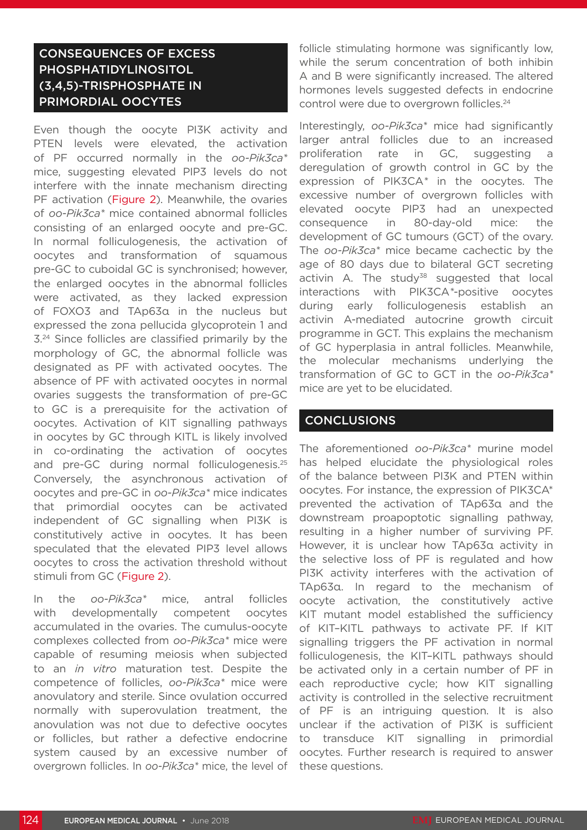### CONSEQUENCES OF EXCESS PHOSPHATIDYLINOSITOL (3,4,5)-TRISPHOSPHATE IN PRIMORDIAL OOCYTES

Even though the oocyte PI3K activity and PTEN levels were elevated, the activation of PF occurred normally in the *oo-Pik3ca\** mice, suggesting elevated PIP3 levels do not interfere with the innate mechanism directing PF activation (Figure 2). Meanwhile, the ovaries of *oo-Pik3ca\** mice contained abnormal follicles consisting of an enlarged oocyte and pre-GC. In normal folliculogenesis, the activation of oocytes and transformation of squamous pre-GC to cuboidal GC is synchronised; however, the enlarged oocytes in the abnormal follicles were activated, as they lacked expression of FOXO3 and TAp63α in the nucleus but expressed the zona pellucida glycoprotein 1 and 3.24 Since follicles are classified primarily by the morphology of GC, the abnormal follicle was designated as PF with activated oocytes. The absence of PF with activated oocytes in normal ovaries suggests the transformation of pre-GC to GC is a prerequisite for the activation of oocytes. Activation of KIT signalling pathways in oocytes by GC through KITL is likely involved in co-ordinating the activation of oocytes and pre-GC during normal folliculogenesis.<sup>25</sup> Conversely, the asynchronous activation of oocytes and pre-GC in *oo-Pik3ca\** mice indicates that primordial oocytes can be activated independent of GC signalling when PI3K is constitutively active in oocytes. It has been speculated that the elevated PIP3 level allows oocytes to cross the activation threshold without stimuli from GC (Figure 2).

In the *oo-Pik3ca\** mice, antral follicles with developmentally competent oocytes accumulated in the ovaries. The cumulus-oocyte complexes collected from *oo-Pik3ca\** mice were capable of resuming meiosis when subjected to an *in vitro* maturation test. Despite the competence of follicles, *oo-Pik3ca\** mice were anovulatory and sterile. Since ovulation occurred normally with superovulation treatment, the anovulation was not due to defective oocytes or follicles, but rather a defective endocrine system caused by an excessive number of overgrown follicles. In *oo-Pik3ca\** mice, the level of follicle stimulating hormone was significantly low, while the serum concentration of both inhibin A and B were significantly increased. The altered hormones levels suggested defects in endocrine control were due to overgrown follicles.<sup>24</sup>

Interestingly, *oo-Pik3ca\** mice had significantly larger antral follicles due to an increased proliferation rate in GC, suggesting deregulation of growth control in GC by the expression of PIK3CA*\** in the oocytes. The excessive number of overgrown follicles with elevated oocyte PIP3 had an unexpected consequence in 80-day-old mice: the development of GC tumours (GCT) of the ovary. The *oo-Pik3ca\** mice became cachectic by the age of 80 days due to bilateral GCT secreting activin A. The study<sup>38</sup> suggested that local interactions with PIK3CA*\**-positive oocytes during early folliculogenesis establish an activin A-mediated autocrine growth circuit programme in GCT. This explains the mechanism of GC hyperplasia in antral follicles. Meanwhile, the molecular mechanisms underlying the transformation of GC to GCT in the *oo-Pik3ca\** mice are yet to be elucidated.

#### CONCLUSIONS

The aforementioned *oo-Pik3ca\** murine model has helped elucidate the physiological roles of the balance between PI3K and PTEN within oocytes. For instance, the expression of PIK3CA\* prevented the activation of TAp63α and the downstream proapoptotic signalling pathway, resulting in a higher number of surviving PF. However, it is unclear how TAp63α activity in the selective loss of PF is regulated and how PI3K activity interferes with the activation of TAp63α. In regard to the mechanism of oocyte activation, the constitutively active KIT mutant model established the sufficiency of KIT–KITL pathways to activate PF. If KIT signalling triggers the PF activation in normal folliculogenesis, the KIT–KITL pathways should be activated only in a certain number of PF in each reproductive cycle; how KIT signalling activity is controlled in the selective recruitment of PF is an intriguing question. It is also unclear if the activation of PI3K is sufficient to transduce KIT signalling in primordial oocytes. Further research is required to answer these questions.